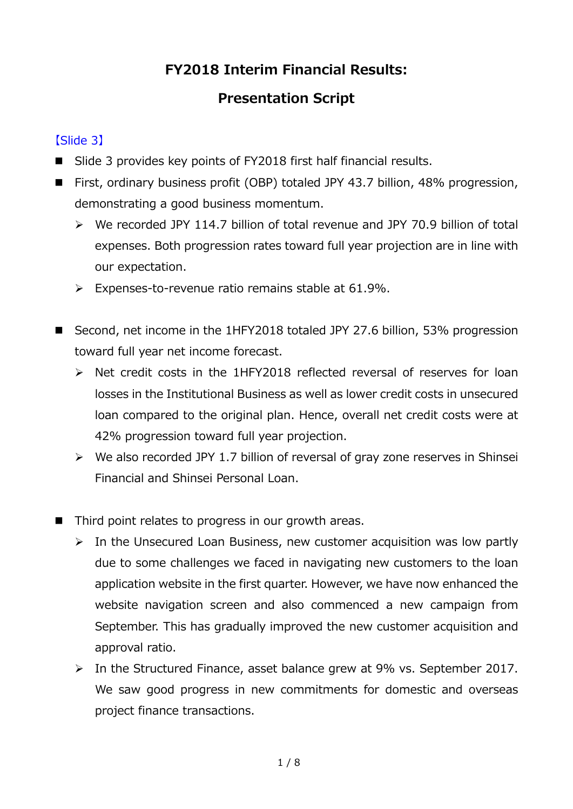# **FY2018 Interim Financial Results:**

# **Presentation Script**

# 【Slide 3】

- Slide 3 provides key points of FY2018 first half financial results.
- First, ordinary business profit (OBP) totaled JPY 43.7 billion, 48% progression, demonstrating a good business momentum.
	- We recorded JPY 114.7 billion of total revenue and JPY 70.9 billion of total expenses. Both progression rates toward full year projection are in line with our expectation.
	- $\triangleright$  Expenses-to-revenue ratio remains stable at 61.9%.
- Second, net income in the 1HFY2018 totaled JPY 27.6 billion, 53% progression toward full year net income forecast.
	- > Net credit costs in the 1HFY2018 reflected reversal of reserves for loan losses in the Institutional Business as well as lower credit costs in unsecured loan compared to the original plan. Hence, overall net credit costs were at 42% progression toward full year projection.
	- $\triangleright$  We also recorded JPY 1.7 billion of reversal of gray zone reserves in Shinsei Financial and Shinsei Personal Loan.
- Third point relates to progress in our growth areas.
	- $\triangleright$  In the Unsecured Loan Business, new customer acquisition was low partly due to some challenges we faced in navigating new customers to the loan application website in the first quarter. However, we have now enhanced the website navigation screen and also commenced a new campaign from September. This has gradually improved the new customer acquisition and approval ratio.
	- In the Structured Finance, asset balance grew at 9% vs. September 2017. We saw good progress in new commitments for domestic and overseas project finance transactions.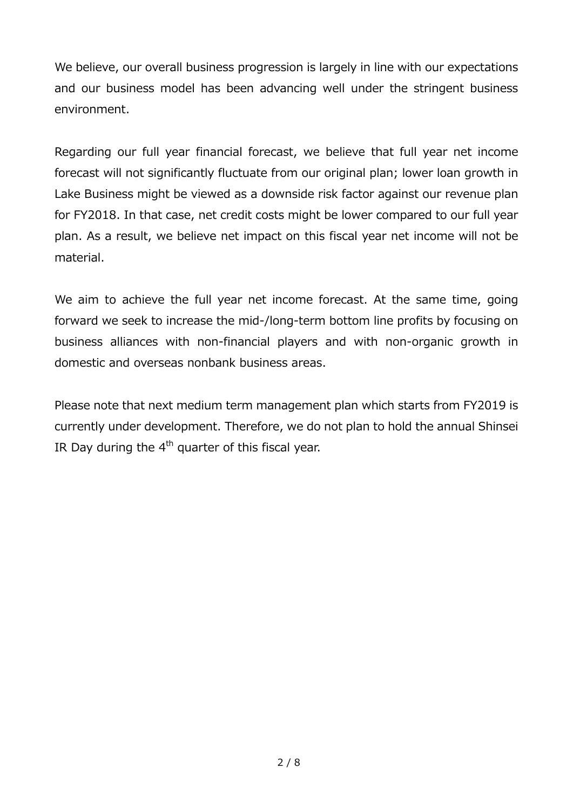We believe, our overall business progression is largely in line with our expectations and our business model has been advancing well under the stringent business environment.

Regarding our full year financial forecast, we believe that full year net income forecast will not significantly fluctuate from our original plan; lower loan growth in Lake Business might be viewed as a downside risk factor against our revenue plan for FY2018. In that case, net credit costs might be lower compared to our full year plan. As a result, we believe net impact on this fiscal year net income will not be material.

We aim to achieve the full year net income forecast. At the same time, going forward we seek to increase the mid-/long-term bottom line profits by focusing on business alliances with non-financial players and with non-organic growth in domestic and overseas nonbank business areas.

Please note that next medium term management plan which starts from FY2019 is currently under development. Therefore, we do not plan to hold the annual Shinsei IR Day during the  $4<sup>th</sup>$  quarter of this fiscal year.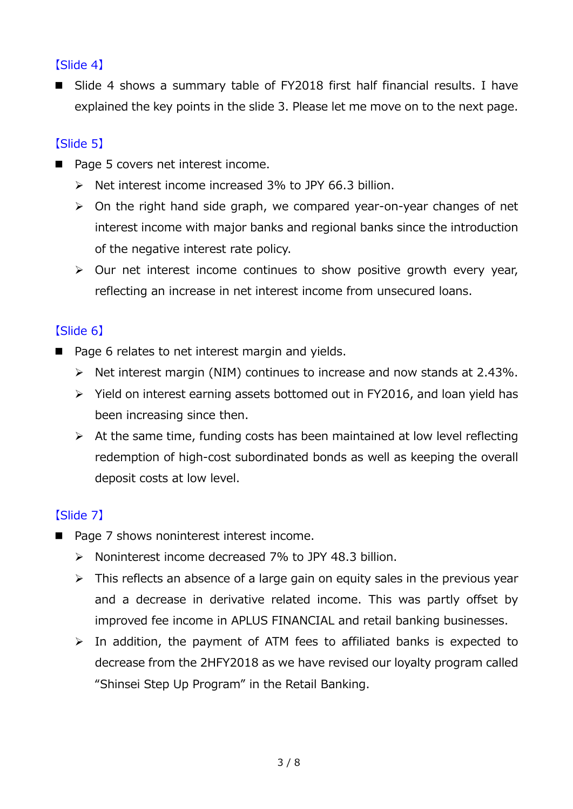#### 【Slide 4】

■ Slide 4 shows a summary table of FY2018 first half financial results. I have explained the key points in the slide 3. Please let me move on to the next page.

# 【Slide 5】

- Page 5 covers net interest income.
	- $\triangleright$  Net interest income increased 3% to JPY 66.3 billion.
	- $\triangleright$  On the right hand side graph, we compared year-on-year changes of net interest income with major banks and regional banks since the introduction of the negative interest rate policy.
	- $\triangleright$  Our net interest income continues to show positive growth every year, reflecting an increase in net interest income from unsecured loans.

# 【Slide 6】

- Page 6 relates to net interest margin and yields.
	- $\triangleright$  Net interest margin (NIM) continues to increase and now stands at 2.43%.
	- $\triangleright$  Yield on interest earning assets bottomed out in FY2016, and loan yield has been increasing since then.
	- $\triangleright$  At the same time, funding costs has been maintained at low level reflecting redemption of high-cost subordinated bonds as well as keeping the overall deposit costs at low level.

# 【Slide 7】

- Page 7 shows noninterest interest income.
	- $\triangleright$  Noninterest income decreased 7% to JPY 48.3 billion.
	- $\triangleright$  This reflects an absence of a large gain on equity sales in the previous year and a decrease in derivative related income. This was partly offset by improved fee income in APLUS FINANCIAL and retail banking businesses.
	- $\triangleright$  In addition, the payment of ATM fees to affiliated banks is expected to decrease from the 2HFY2018 as we have revised our loyalty program called "Shinsei Step Up Program" in the Retail Banking.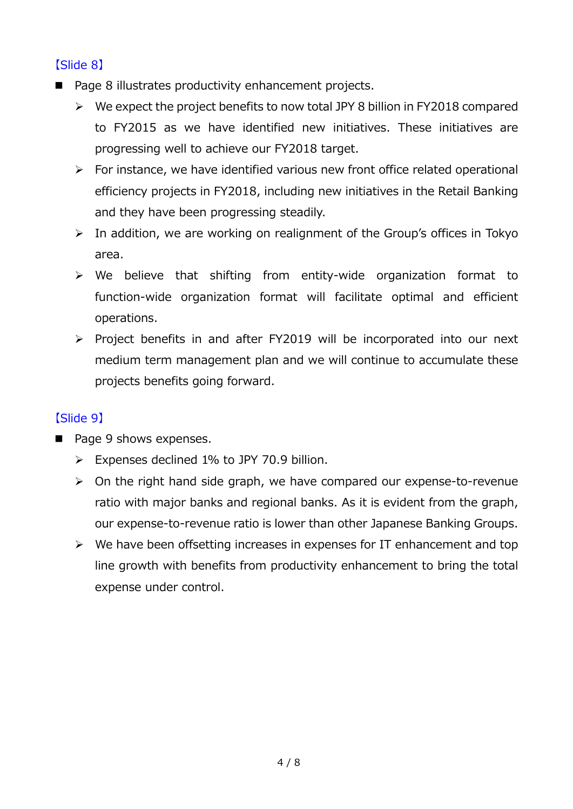#### 【Slide 8】

- Page 8 illustrates productivity enhancement projects.
	- $\triangleright$  We expect the project benefits to now total JPY 8 billion in FY2018 compared to FY2015 as we have identified new initiatives. These initiatives are progressing well to achieve our FY2018 target.
	- $\triangleright$  For instance, we have identified various new front office related operational efficiency projects in FY2018, including new initiatives in the Retail Banking and they have been progressing steadily.
	- $\triangleright$  In addition, we are working on realignment of the Group's offices in Tokyo area.
	- $\triangleright$  We believe that shifting from entity-wide organization format to function-wide organization format will facilitate optimal and efficient operations.
	- Project benefits in and after FY2019 will be incorporated into our next medium term management plan and we will continue to accumulate these projects benefits going forward.

# 【Slide 9】

- Page 9 shows expenses.
	- $\triangleright$  Expenses declined 1% to JPY 70.9 billion.
	- $\triangleright$  On the right hand side graph, we have compared our expense-to-revenue ratio with major banks and regional banks. As it is evident from the graph, our expense-to-revenue ratio is lower than other Japanese Banking Groups.
	- $\triangleright$  We have been offsetting increases in expenses for IT enhancement and top line growth with benefits from productivity enhancement to bring the total expense under control.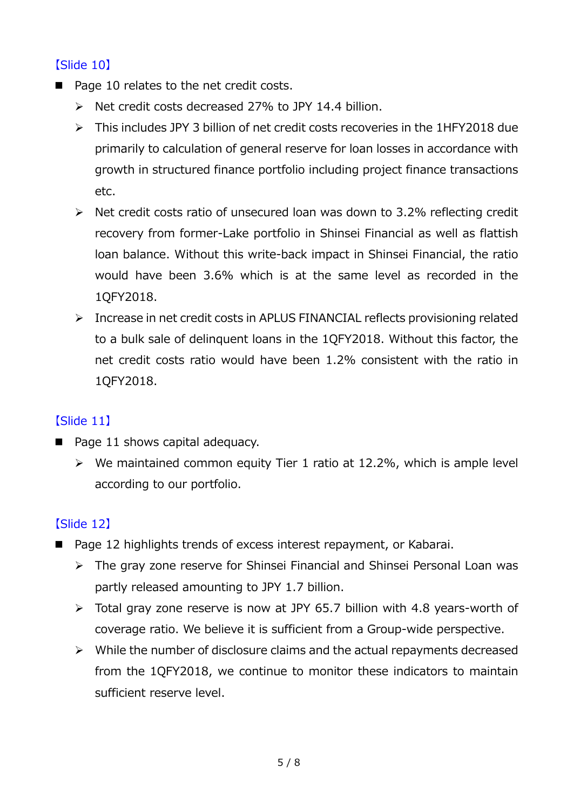#### 【Slide 10】

- Page 10 relates to the net credit costs.
	- $\triangleright$  Net credit costs decreased 27% to JPY 14.4 billion.
	- This includes JPY 3 billion of net credit costs recoveries in the 1HFY2018 due primarily to calculation of general reserve for loan losses in accordance with growth in structured finance portfolio including project finance transactions etc.
	- $\triangleright$  Net credit costs ratio of unsecured loan was down to 3.2% reflecting credit recovery from former-Lake portfolio in Shinsei Financial as well as flattish loan balance. Without this write-back impact in Shinsei Financial, the ratio would have been 3.6% which is at the same level as recorded in the 1QFY2018.
	- $\triangleright$  Increase in net credit costs in APLUS FINANCIAL reflects provisioning related to a bulk sale of delinquent loans in the 1QFY2018. Without this factor, the net credit costs ratio would have been 1.2% consistent with the ratio in 1QFY2018.

#### 【Slide 11】

- $\blacksquare$  Page 11 shows capital adequacy.
	- $\triangleright$  We maintained common equity Tier 1 ratio at 12.2%, which is ample level according to our portfolio.

# 【Slide 12】

- Page 12 highlights trends of excess interest repayment, or Kabarai.
	- The gray zone reserve for Shinsei Financial and Shinsei Personal Loan was partly released amounting to JPY 1.7 billion.
	- Total gray zone reserve is now at JPY 65.7 billion with 4.8 years-worth of coverage ratio. We believe it is sufficient from a Group-wide perspective.
	- $\triangleright$  While the number of disclosure claims and the actual repayments decreased from the 1QFY2018, we continue to monitor these indicators to maintain sufficient reserve level.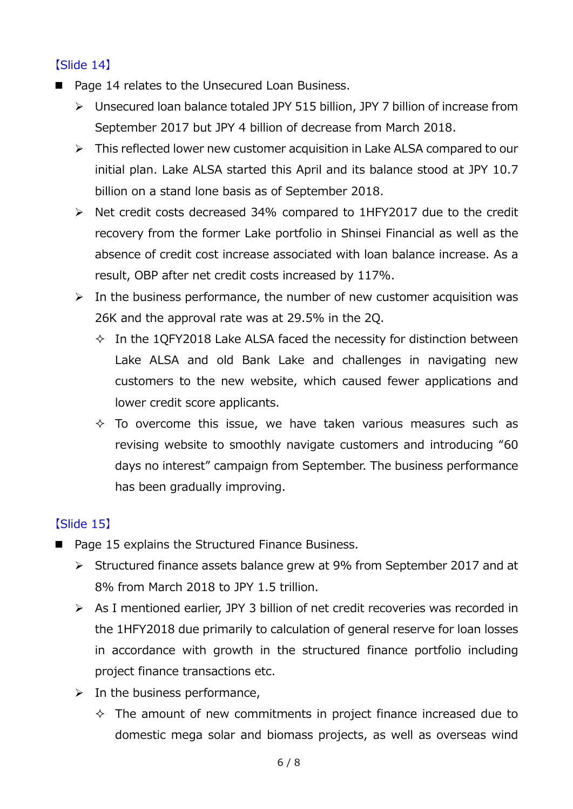#### 【Slide 14】

- Page 14 relates to the Unsecured Loan Business.
	- Unsecured loan balance totaled JPY 515 billion, JPY 7 billion of increase from September 2017 but JPY 4 billion of decrease from March 2018.
	- $\triangleright$  This reflected lower new customer acquisition in Lake ALSA compared to our initial plan. Lake ALSA started this April and its balance stood at JPY 10.7 billion on a stand lone basis as of September 2018.
	- $\triangleright$  Net credit costs decreased 34% compared to 1HFY2017 due to the credit recovery from the former Lake portfolio in Shinsei Financial as well as the absence of credit cost increase associated with loan balance increase. As a result, OBP after net credit costs increased by 117%.
	- $\triangleright$  In the business performance, the number of new customer acquisition was 26K and the approval rate was at 29.5% in the 2Q.
		- $\Diamond$  In the 1QFY2018 Lake ALSA faced the necessity for distinction between Lake ALSA and old Bank Lake and challenges in navigating new customers to the new website, which caused fewer applications and lower credit score applicants.
		- $\Diamond$  To overcome this issue, we have taken various measures such as revising website to smoothly navigate customers and introducing "60 days no interest" campaign from September. The business performance has been gradually improving.

# 【Slide 15】

- Page 15 explains the Structured Finance Business.
	- Structured finance assets balance grew at 9% from September 2017 and at 8% from March 2018 to JPY 1.5 trillion.
	- As I mentioned earlier, JPY 3 billion of net credit recoveries was recorded in the 1HFY2018 due primarily to calculation of general reserve for loan losses in accordance with growth in the structured finance portfolio including project finance transactions etc.
	- $\triangleright$  In the business performance,
		- $\Diamond$  The amount of new commitments in project finance increased due to domestic mega solar and biomass projects, as well as overseas wind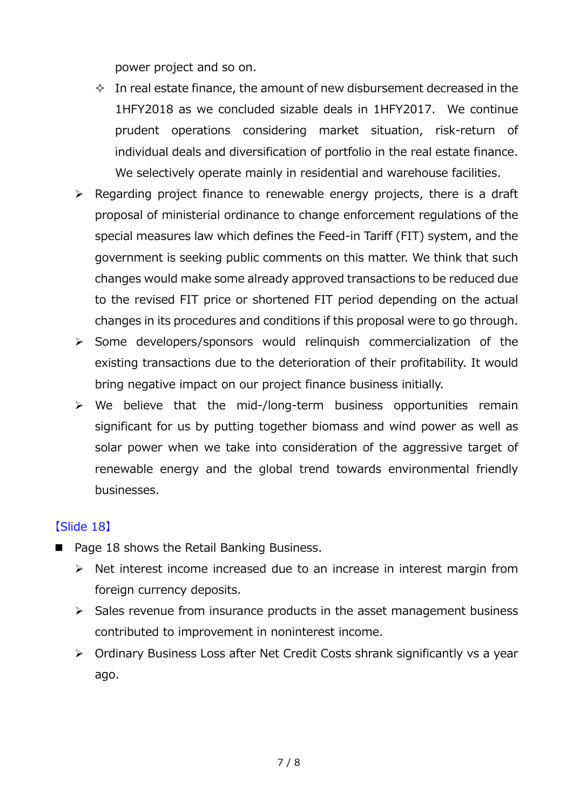power project and so on.

- $\Diamond$  In real estate finance, the amount of new disbursement decreased in the 1HFY2018 as we concluded sizable deals in 1HFY2017. We continue prudent operations considering market situation, risk-return of individual deals and diversification of portfolio in the real estate finance. We selectively operate mainly in residential and warehouse facilities.
- $\triangleright$  Regarding project finance to renewable energy projects, there is a draft proposal of ministerial ordinance to change enforcement regulations of the special measures law which defines the Feed-in Tariff (FIT) system, and the government is seeking public comments on this matter. We think that such changes would make some already approved transactions to be reduced due to the revised FIT price or shortened FIT period depending on the actual changes in its procedures and conditions if this proposal were to go through.
- $\triangleright$  Some developers/sponsors would relinguish commercialization of the existing transactions due to the deterioration of their profitability. It would bring negative impact on our project finance business initially.
- $\triangleright$  We believe that the mid-/long-term business opportunities remain significant for us by putting together biomass and wind power as well as solar power when we take into consideration of the aggressive target of renewable energy and the global trend towards environmental friendly businesses.

#### 【Slide 18】

- Page 18 shows the Retail Banking Business.
	- $\triangleright$  Net interest income increased due to an increase in interest margin from foreign currency deposits.
	- $\triangleright$  Sales revenue from insurance products in the asset management business contributed to improvement in noninterest income.
	- Ordinary Business Loss after Net Credit Costs shrank significantly vs a year ago.